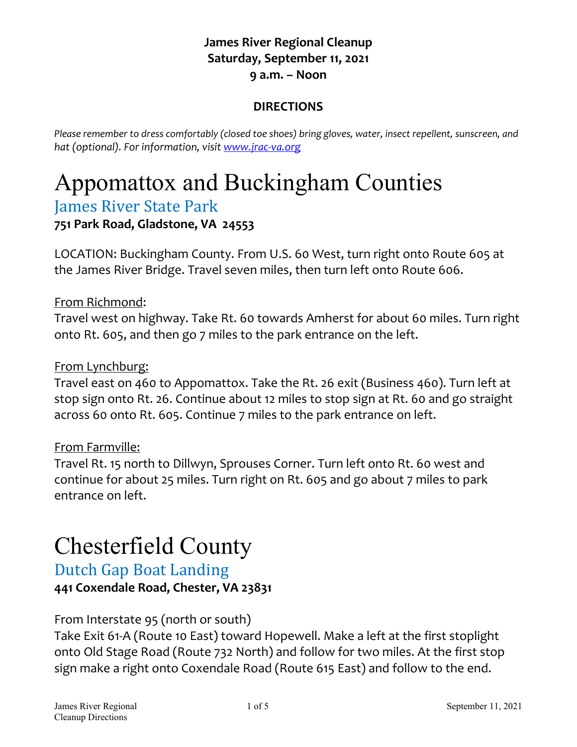### **James River Regional Cleanup Saturday, September 11, 2021 9 a.m. – Noon**

### **DIRECTIONS**

*Please remember to dress comfortably (closed toe shoes) bring gloves, water, insect repellent, sunscreen, and hat (optional). For information, visit [www.jrac-va.org](http://www.jrac-va.org/)*

# Appomattox and Buckingham Counties

## James River State Park

### **751 Park Road, Gladstone, VA 24553**

LOCATION: Buckingham County. From U.S. 60 West, turn right onto Route 605 at the James River Bridge. Travel seven miles, then turn left onto Route 606.

From Richmond:

Travel west on highway. Take Rt. 60 towards Amherst for about 60 miles. Turn right onto Rt. 605, and then go 7 miles to the park entrance on the left.

### From Lynchburg:

Travel east on 460 to Appomattox. Take the Rt. 26 exit (Business 460). Turn left at stop sign onto Rt. 26. Continue about 12 miles to stop sign at Rt. 60 and go straight across 60 onto Rt. 605. Continue 7 miles to the park entrance on left.

### From Farmville:

Travel Rt. 15 north to Dillwyn, Sprouses Corner. Turn left onto Rt. 60 west and continue for about 25 miles. Turn right on Rt. 605 and go about 7 miles to park entrance on left.

# Chesterfield County

## Dutch Gap Boat Landing

**441 Coxendale Road, Chester, VA 23831** 

### From Interstate 95 (north or south)

Take Exit 61-A (Route 10 East) toward Hopewell. Make a left at the first stoplight onto Old Stage Road (Route 732 North) and follow for two miles. At the first stop sign make a right onto Coxendale Road (Route 615 East) and follow to the end.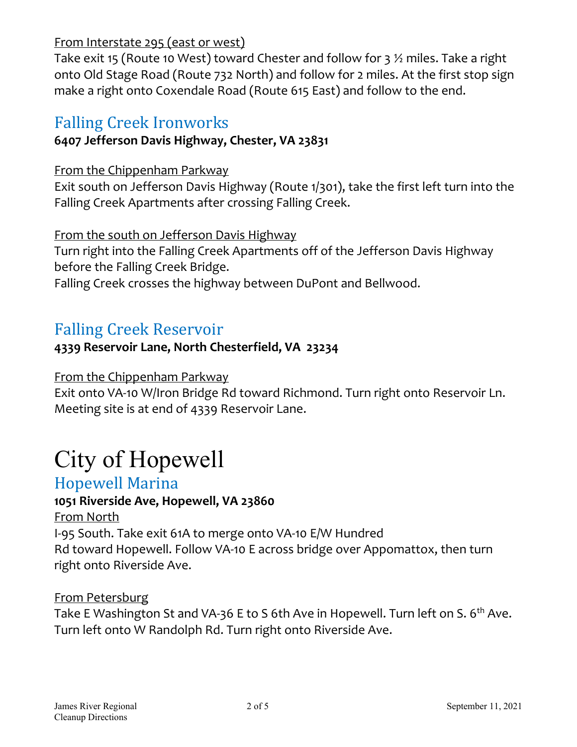### From Interstate 295 (east or west)

Take exit 15 (Route 10 West) toward Chester and follow for 3  $\frac{1}{2}$  miles. Take a right onto Old Stage Road (Route 732 North) and follow for 2 miles. At the first stop sign make a right onto Coxendale Road (Route 615 East) and follow to the end.

## Falling Creek Ironworks

### **6407 Jefferson Davis Highway, Chester, VA 23831**

### From the Chippenham Parkway

Exit south on Jefferson Davis Highway (Route 1/301), take the first left turn into the Falling Creek Apartments after crossing Falling Creek.

From the south on Jefferson Davis Highway

Turn right into the Falling Creek Apartments off of the Jefferson Davis Highway before the Falling Creek Bridge.

Falling Creek crosses the highway between DuPont and Bellwood.

# Falling Creek Reservoir

### **4339 Reservoir Lane, North Chesterfield, VA 23234**

### From the Chippenham Parkway

Exit onto VA-10 W/Iron Bridge Rd toward Richmond. Turn right onto Reservoir Ln. Meeting site is at end of 4339 Reservoir Lane.

# City of Hopewell

### Hopewell Marina

### **1051 Riverside Ave, Hopewell, VA 23860**

From North I-95 South. Take exit 61A to merge onto VA-10 E/W Hundred Rd toward Hopewell. Follow VA-10 E across bridge over Appomattox, then turn right onto Riverside Ave.

### From Petersburg

Take E Washington St and VA-36 E to S 6th Ave in Hopewell. Turn left on S. 6<sup>th</sup> Ave. Turn left onto W Randolph Rd. Turn right onto Riverside Ave.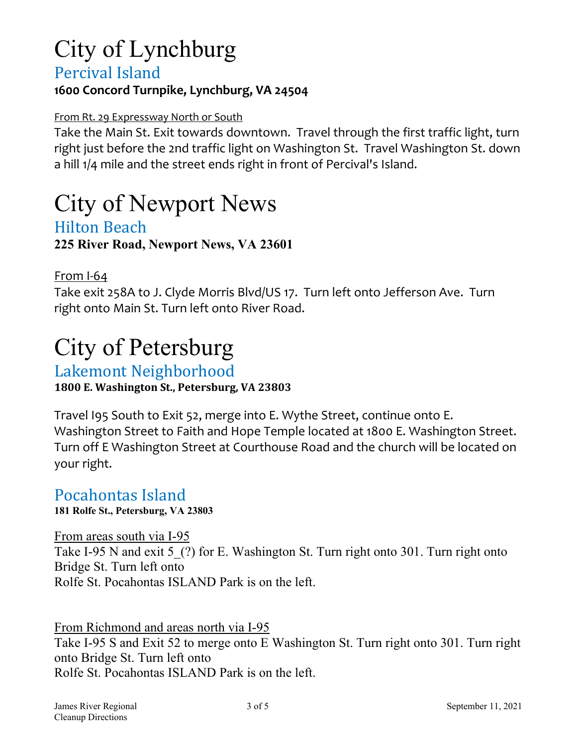# City of Lynchburg

### Percival Island

### **1600 Concord Turnpike, Lynchburg, VA 24504**

#### From Rt. 29 Expressway North or South

Take the Main St. Exit towards downtown. Travel through the first traffic light, turn right just before the 2nd traffic light on Washington St. Travel Washington St. down a hill 1/4 mile and the street ends right in front of Percival's Island.

# City of Newport News

### Hilton Beach **225 River Road, Newport News, VA 23601**

From I-64

Take exit 258A to J. Clyde Morris Blvd/US 17. Turn left onto Jefferson Ave. Turn right onto Main St. Turn left onto River Road.

# City of Petersburg

Lakemont Neighborhood

**1800 E. Washington St., Petersburg, VA 23803**

Travel I95 South to Exit 52, merge into E. Wythe Street, continue onto E. Washington Street to Faith and Hope Temple located at 1800 E. Washington Street. Turn off E Washington Street at Courthouse Road and the church will be located on your right.

### Pocahontas Island

**181 Rolfe St., Petersburg, VA 23803**

From areas south via I-95

Take I-95 N and exit 5 (?) for E. Washington St. Turn right onto 301. Turn right onto Bridge St. Turn left onto Rolfe St. Pocahontas ISLAND Park is on the left.

From Richmond and areas north via I-95

Take I-95 S and Exit 52 to merge onto E Washington St. Turn right onto 301. Turn right onto Bridge St. Turn left onto Rolfe St. Pocahontas ISLAND Park is on the left.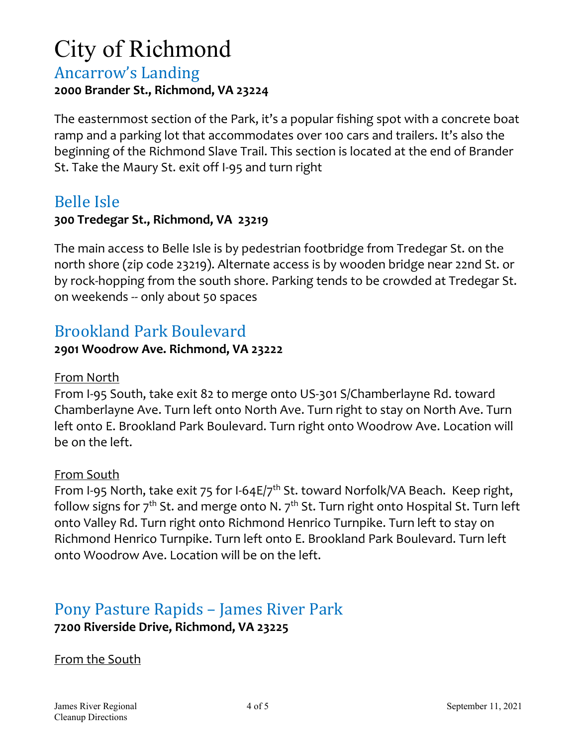# City of Richmond

### Ancarrow's Landing **2000 Brander St., Richmond, VA 23224**

The easternmost section of the Park, it's a popular fishing spot with a concrete boat ramp and a parking lot that accommodates over 100 cars and trailers. It's also the beginning of the Richmond Slave Trail. This section is located at the end of Brander St. Take the Maury St. exit off I-95 and turn right

## Belle Isle

### **300 Tredegar St., Richmond, VA 23219**

The main access to Belle Isle is by pedestrian footbridge from Tredegar St. on the north shore (zip code 23219). Alternate access is by wooden bridge near 22nd St. or by rock-hopping from the south shore. Parking tends to be crowded at Tredegar St. on weekends -- only about 50 spaces

## Brookland Park Boulevard

### **2901 Woodrow Ave. Richmond, VA 23222**

### From North

From I-95 South, take exit 82 to merge onto US-301 S/Chamberlayne Rd. toward Chamberlayne Ave. Turn left onto North Ave. Turn right to stay on North Ave. Turn left onto E. Brookland Park Boulevard. Turn right onto Woodrow Ave. Location will be on the left.

### From South

From I-95 North, take exit 75 for I-64E/7<sup>th</sup> St. toward Norfolk/VA Beach. Keep right, follow signs for  $7<sup>th</sup>$  St. and merge onto N.  $7<sup>th</sup>$  St. Turn right onto Hospital St. Turn left onto Valley Rd. Turn right onto Richmond Henrico Turnpike. Turn left to stay on Richmond Henrico Turnpike. Turn left onto E. Brookland Park Boulevard. Turn left onto Woodrow Ave. Location will be on the left.

## Pony Pasture Rapids – James River Park **7200 Riverside Drive, Richmond, VA 23225**

### From the South